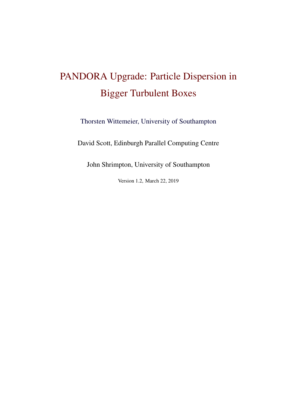# PANDORA Upgrade: Particle Dispersion in Bigger Turbulent Boxes

[Thorsten Wittemeier, University of Southampton](t.wittemeier@soton.ac.uk)

David Scott, Edinburgh Parallel Computing Centre

John Shrimpton, University of Southampton

Version 1.2, March 22, 2019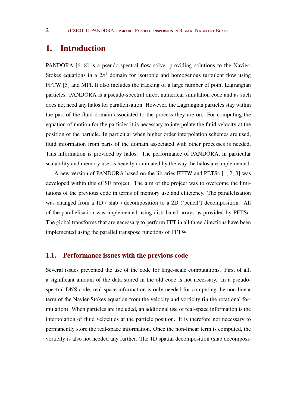## 1. Introduction

PANDORA [\[6](#page-18-0), [8\]](#page-19-0) is a pseudo-spectral flow solver providing solutions to the Navier-Stokes equations in a  $2\pi^3$  domain for isotropic and homogenous turbulent flow using FFTW [\[5\]](#page-18-0) and MPI. It also includes the tracking of a large number of point Lagrangian particles. PANDORA is a pseudo-spectral direct numerical simulation code and as such does not need any halos for parallelisation. However, the Lagrangian particles stay within the part of the fluid domain associated to the process they are on. For computing the equation of motion for the particles it is necessary to interpolate the fluid velocity at the position of the particle. In particular when higher order interpolation schemes are used, fluid information from parts of the domain associated with other processes is needed. This information is provided by halos. The performance of PANDORA, in particular scalability and memory use, is heavily dominated by the way the halos are implemented.

A new version of PANDORA based on the libraries FFTW and PETSc [\[1,](#page-18-0) [2](#page-18-0), [3\]](#page-18-0) was developed within this eCSE project. The aim of the project was to overcome the limitations of the previous code in terms of memory use and efficiency. The parallelisation was changed from a 1D ('slab') decomposition to a 2D ('pencil') decomposition. All of the parallelisation was implemented using distributed arrays as provided by PETSc. The global transforms that are necessary to perform FFT in all three directions have been implemented using the parallel transpose functions of FFTW.

#### 1.1. Performance issues with the previous code

Several issues prevented the use of the code for large-scale computations. First of all, a significant amount of the data stored in the old code is not necessary. In a pseudospectral DNS code, real-space information is only needed for computing the non-linear term of the Navier-Stokes equation from the velocity and vorticity (in the rotational formulation). When particles are included, an additional use of real-space information is the interpolation of fluid velocities at the particle position. It is therefore not necessary to permanently store the real-space information. Once the non-linear term is computed, the vorticity is also not needed any further. The 1D spatial decomposition (slab decomposi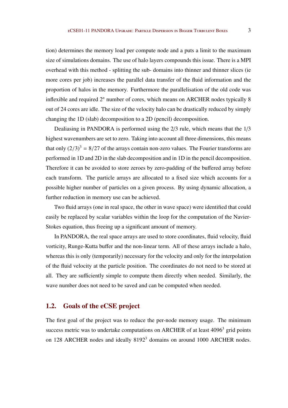tion) determines the memory load per compute node and a puts a limit to the maximum size of simulations domains. The use of halo layers compounds this issue. There is a MPI overhead with this method - splitting the sub- domains into thinner and thinner slices (ie more cores per job) increases the parallel data transfer of the fluid information and the proportion of halos in the memory. Furthermore the parallelisation of the old code was inflexible and required 2*<sup>n</sup>* number of cores, which means on ARCHER nodes typically 8 out of 24 cores are idle. The size of the velocity halo can be drastically reduced by simply changing the 1D (slab) decomposition to a 2D (pencil) decomposition.

Dealiasing in PANDORA is performed using the 2/3 rule, which means that the 1/3 highest wavenumbers are set to zero. Taking into account all three dimensions, this means that only  $(2/3)^3 = 8/27$  of the arrays contain non-zero values. The Fourier transforms are performed in 1D and 2D in the slab decomposition and in 1D in the pencil decomposition. Therefore it can be avoided to store zeroes by zero-padding of the buffered array before each transform. The particle arrays are allocated to a fixed size which accounts for a possible higher number of particles on a given process. By using dynamic allocation, a further reduction in memory use can be achieved.

Two fluid arrays (one in real space, the other in wave space) were identified that could easily be replaced by scalar variables within the loop for the computation of the Navier-Stokes equation, thus freeing up a significant amount of memory.

In PANDORA, the real space arrays are used to store coordinates, fluid velocity, fluid vorticity, Runge-Kutta buffer and the non-linear term. All of these arrays include a halo, whereas this is only (temporarily) necessary for the velocity and only for the interpolation of the fluid velocity at the particle position. The coordinates do not need to be stored at all. They are sufficiently simple to compute them directly when needed. Similarly, the wave number does not need to be saved and can be computed when needed.

#### 1.2. Goals of the eCSE project

The first goal of the project was to reduce the per-node memory usage. The minimum success metric was to undertake computations on ARCHER of at least  $4096<sup>3</sup>$  grid points on 128 ARCHER nodes and ideally 8192<sup>3</sup> domains on around 1000 ARCHER nodes.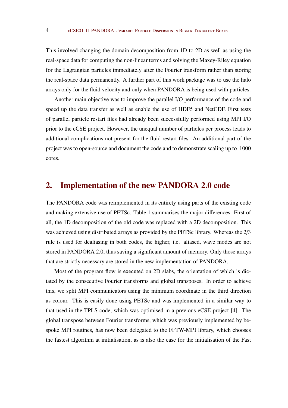This involved changing the domain decomposition from 1D to 2D as well as using the real-space data for computing the non-linear terms and solving the Maxey-Riley equation for the Lagrangian particles immediately after the Fourier transform rather than storing the real-space data permanently. A further part of this work package was to use the halo arrays only for the fluid velocity and only when PANDORA is being used with particles.

Another main objective was to improve the parallel I/O performance of the code and speed up the data transfer as well as enable the use of HDF5 and NetCDF. First tests of parallel particle restart files had already been successfully performed using MPI I/O prior to the eCSE project. However, the unequal number of particles per process leads to additional complications not present for the fluid restart files. An additional part of the project was to open-source and document the code and to demonstrate scaling up to 1000 cores.

## 2. Implementation of the new PANDORA 2.0 code

The PANDORA code was reimplemented in its entirety using parts of the existing code and making extensive use of PETSc. Table [1](#page-5-0) summarises the major differences. First of all, the 1D decomposition of the old code was replaced with a 2D decomposition. This was achieved using distributed arrays as provided by the PETSc library. Whereas the 2/3 rule is used for dealiasing in both codes, the higher, i.e. aliased, wave modes are not stored in PANDORA 2.0, thus saving a significant amount of memory. Only those arrays that are strictly necessary are stored in the new implementation of PANDORA.

Most of the program flow is executed on 2D slabs, the orientation of which is dictated by the consecutive Fourier transforms and global transposes. In order to achieve this, we split MPI communicators using the minimum coordinate in the third direction as colour. This is easily done using PETSc and was implemented in a similar way to that used in the TPLS code, which was optimised in a previous eCSE project [\[4\]](#page-18-0). The global transpose between Fourier transforms, which was previously implemented by bespoke MPI routines, has now been delegated to the FFTW-MPI library, which chooses the fastest algorithm at initialisation, as is also the case for the initialisation of the Fast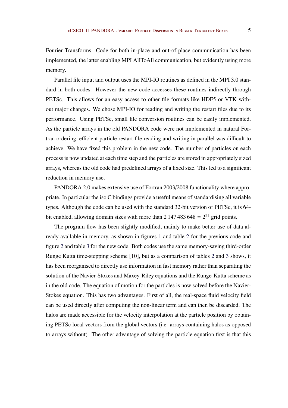Fourier Transforms. Code for both in-place and out-of place communication has been implemented, the latter enabling MPI AllToAll communication, but evidently using more memory.

Parallel file input and output uses the MPI-IO routines as defined in the MPI 3.0 standard in both codes. However the new code accesses these routines indirectly through PETSc. This allows for an easy access to other file formats like HDF5 or VTK without major changes. We chose MPI-IO for reading and writing the restart files due to its performance. Using PETSc, small file conversion routines can be easily implemented. As the particle arrays in the old PANDORA code were not implemented in natural Fortran ordering, efficient particle restart file reading and writing in parallel was difficult to achieve. We have fixed this problem in the new code. The number of particles on each process is now updated at each time step and the particles are stored in appropriately sized arrays, whereas the old code had predefined arrays of a fixed size. This led to a significant reduction in memory use.

PANDORA 2.0 makes extensive use of Fortran 2003/2008 functionality where appropriate. In particular the iso C bindings provide a useful means of standardising all variable types. Although the code can be used with the standard 32-bit version of PETSc, it is 64 bit enabled, allowing domain sizes with more than  $2 \frac{147}{483} \cdot 648 = 2^{31}$  grid points.

The program flow has been slightly modified, mainly to make better use of data already available in memory, as shown in figures [1](#page-6-0) and table [2](#page-7-0) for the previous code and figure [2](#page-8-0) and table [3](#page-9-0) for the new code. Both codes use the same memory-saving third-order Runge Kutta time-stepping scheme [\[10\]](#page-19-0), but as a comparison of tables [2](#page-7-0) and [3](#page-9-0) shows, it has been reorganised to directly use information in fast memory rather than separating the solution of the Navier-Stokes and Maxey-Riley equations and the Runge-Kutta scheme as in the old code. The equation of motion for the particles is now solved before the Navier-Stokes equation. This has two advantages. First of all, the real-space fluid velocity field can be used directly after computing the non-linear term and can then be discarded. The halos are made accessible for the velocity interpolation at the particle position by obtaining PETSc local vectors from the global vectors (i.e. arrays containing halos as opposed to arrays without). The other advantage of solving the particle equation first is that this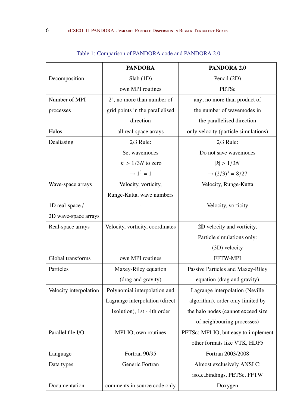<span id="page-5-0"></span>

|                        | <b>PANDORA</b>                   | <b>PANDORA 2.0</b>                      |
|------------------------|----------------------------------|-----------------------------------------|
| Decomposition          | Slab(1D)                         | Pencil (2D)                             |
|                        | own MPI routines                 | PETSc                                   |
| Number of MPI          | $2^n$ , no more than number of   | any; no more than product of            |
| processes              | grid points in the parallelised  | the number of wavemodes in              |
|                        | direction                        | the parallelised direction              |
| Halos                  | all real-space arrays            | only velocity (particle simulations)    |
| Dealiasing             | $2/3$ Rule:                      | $2/3$ Rule:                             |
|                        | Set wavemodes                    | Do not save wavemodes                   |
|                        | $ k  > 1/3N$ to zero             | k  > 1/3N                               |
|                        | $\rightarrow 1^3 = 1$            | $\rightarrow$ (2/3) <sup>3</sup> = 8/27 |
| Wave-space arrays      | Velocity, vorticity,             | Velocity, Runge-Kutta                   |
|                        | Runge-Kutta, wave numbers        |                                         |
| 1D real-space /        |                                  | Velocity, vorticity                     |
| 2D wave-space arrays   |                                  |                                         |
| Real-space arrays      | Velocity, vorticity, coordinates | 2D velocity and vorticity,              |
|                        |                                  | Particle simulations only:              |
|                        |                                  | (3D) velocity                           |
| Global transforms      | own MPI routines                 | FFTW-MPI                                |
| Particles              | Maxey-Riley equation             | Passive Particles and Maxey-Riley       |
|                        | (drag and gravity)               | equation (drag and gravity)             |
| Velocity interpolation | Polynomial interpolation and     | Lagrange interpolation (Neville)        |
|                        | Lagrange interpolation (direct   | algorithm), order only limited by       |
|                        | 1 solution), 1st - 4th order     | the halo nodes (cannot exceed size      |
|                        |                                  | of neighbouring processes)              |
| Parallel file I/O      | MPI-IO, own routines             | PETSc: MPI-IO, but easy to implement    |
|                        |                                  | other formats like VTK, HDF5            |
| Language               | Fortran 90/95                    | Fortran 2003/2008                       |
| Data types             | Generic Fortran                  | Almost exclusively ANSI C:              |
|                        |                                  | iso_c_bindings, PETSc, FFTW             |
| Documentation          | comments in source code only     | Doxygen                                 |

## Table 1: Comparison of PANDORA code and PANDORA 2.0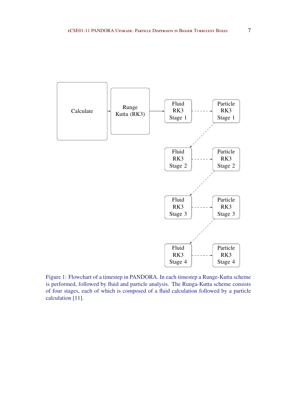<span id="page-6-0"></span>

Figure 1: Flowchart of a timestep in PANDORA. In each timestep a Runge-Kutta scheme is performed, followed by fluid and particle analysis. The Runga-Kutta scheme consists of four stages, each of which is composed of a fluid calculation followed by a particle calculation [\[11](#page-19-0)].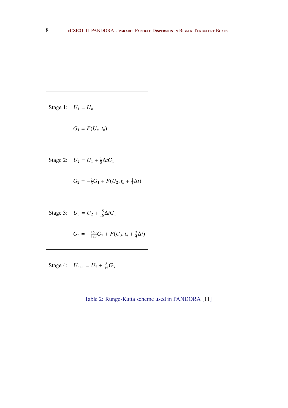<span id="page-7-0"></span>Stage 1:  $U_1 = U_n$ 

$$
G_1 = F(U_n, t_n)
$$

Stage 2:  $U_2 = U_1 + \frac{1}{3}$  $\frac{1}{3}\Delta tG_1$ 

$$
G_2 = -\frac{5}{9}G_1 + F(U_2, t_n + \frac{1}{3}\Delta t)
$$

Stage 3:  $U_3 = U_2 + \frac{15}{16} \Delta t G_1$ 

$$
G_3 = -\frac{153}{128}G_2 + F(U_3, t_n + \frac{3}{4}\Delta t)
$$

Stage 4:  $U_{n+1} = U_2 + \frac{8}{15}G_3$ 

Table 2: Runge-Kutta scheme used in PANDORA [\[11\]](#page-19-0)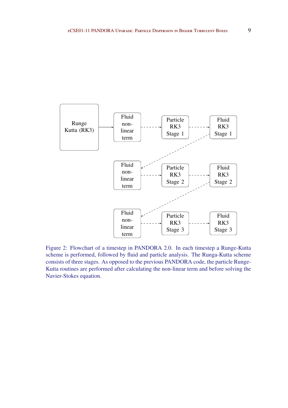<span id="page-8-0"></span>

Figure 2: Flowchart of a timestep in PANDORA 2.0. In each timestep a Runge-Kutta scheme is performed, followed by fluid and particle analysis. The Runga-Kutta scheme consists of three stages. As opposed to the previous PANDORA code, the particle Runge-Kutta routines are performed after calculating the non-linear term and before solving the Navier-Stokes equation.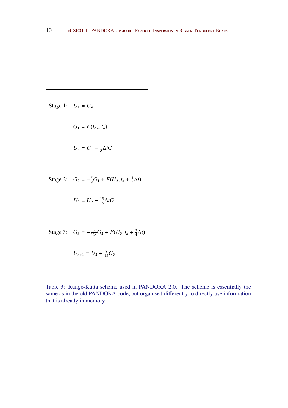<span id="page-9-0"></span>Stage 1:  $U_1 = U_n$ 

$$
G_1 = F(U_n, t_n)
$$
  

$$
U_2 = U_1 + \frac{1}{3}\Delta t G_1
$$

Stage 2:  $G_2 = -\frac{5}{9}G_1 + F(U_2, t_n + \frac{1}{3})$  $rac{1}{3}\Delta t$ 

 $U_3 = U_2 + \frac{15}{16} \Delta t G_1$ 

Stage 3:  $G_3 = -\frac{153}{128}G_2 + F(U_3, t_n + \frac{3}{4})$  $\frac{3}{4}\Delta t$ 

$$
U_{n+1} = U_2 + \frac{8}{15}G_3
$$

Table 3: Runge-Kutta scheme used in PANDORA 2.0. The scheme is essentially the same as in the old PANDORA code, but organised differently to directly use information that is already in memory.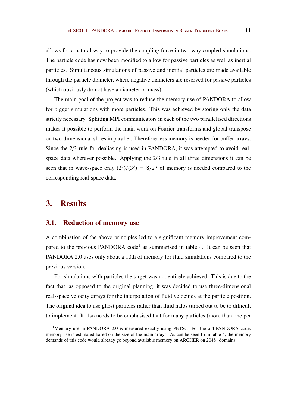allows for a natural way to provide the coupling force in two-way coupled simulations. The particle code has now been modified to allow for passive particles as well as inertial particles. Simultaneous simulations of passive and inertial particles are made available through the particle diameter, where negative diameters are reserved for passive particles (which obviously do not have a diameter or mass).

The main goal of the project was to reduce the memory use of PANDORA to allow for bigger simulations with more particles. This was achieved by storing only the data strictly necessary. Splitting MPI communicators in each of the two parallelised directions makes it possible to perform the main work on Fourier transforms and global transpose on two-dimensional slices in parallel. Therefore less memory is needed for buffer arrays. Since the 2/3 rule for dealiasing is used in PANDORA, it was attempted to avoid realspace data wherever possible. Applying the 2/3 rule in all three dimensions it can be seen that in wave-space only  $(2^3)/(3^3) = 8/27$  of memory is needed compared to the corresponding real-space data.

### 3. Results

#### 3.1. Reduction of memory use

A combination of the above principles led to a significant memory improvement com-pared to the previous PANDORA code<sup>1</sup> as summarised in table [4.](#page-11-0) It can be seen that PANDORA 2.0 uses only about a 10th of memory for fluid simulations compared to the previous version.

For simulations with particles the target was not entirely achieved. This is due to the fact that, as opposed to the original planning, it was decided to use three-dimensional real-space velocity arrays for the interpolation of fluid velocities at the particle position. The original idea to use ghost particles rather than fluid halos turned out to be to difficult to implement. It also needs to be emphasised that for many particles (more than one per

<sup>&</sup>lt;sup>1</sup>Memory use in PANDORA 2.0 is measured exactly using PETSc. For the old PANDORA code, memory use is estimated based on the size of the main arrays. As can be seen from table [4,](#page-11-0) the memory demands of this code would already go beyond available memory on ARCHER on 2048<sup>3</sup> domains.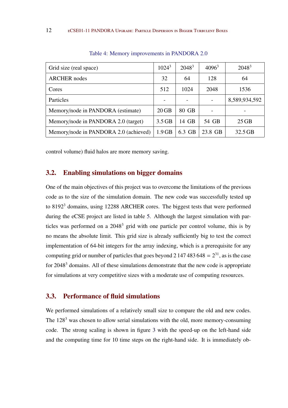<span id="page-11-0"></span>

| Grid size (real space)                | $1024^3$ | $2048^3$        | $4096^3$ | $2048^3$      |
|---------------------------------------|----------|-----------------|----------|---------------|
| <b>ARCHER</b> nodes                   | 32       | 64              | 128      | 64            |
| Cores                                 | 512      | 1024            | 2048     | 1536          |
| Particles                             |          | $\qquad \qquad$ |          | 8,589,934,592 |
| Memory/node in PANDORA (estimate)     | $20$ GB  | 80 GB           |          |               |
| Memory/node in PANDORA 2.0 (target)   | $3.5$ GB | 14 GB           | 54 GB    | $25$ GB       |
| Memory/node in PANDORA 2.0 (achieved) | $1.9$ GB | 6.3 GB          | 23.8 GB  | 32.5 GB       |

Table 4: Memory improvements in PANDORA 2.0

control volume) fluid halos are more memory saving.

#### 3.2. Enabling simulations on bigger domains

One of the main objectives of this project was to overcome the limitations of the previous code as to the size of the simulation domain. The new code was successfully tested up to 8192<sup>3</sup> domains, using 12288 ARCHER cores. The biggest tests that were performed during the eCSE project are listed in table [5.](#page-12-0) Although the largest simulation with particles was performed on a 2048<sup>3</sup> grid with one particle per control volume, this is by no means the absolute limit. This grid size is already sufficiently big to test the correct implementation of 64-bit integers for the array indexing, which is a prerequisite for any computing grid or number of particles that goes beyond 2 147 483 648 =  $2^{31}$ , as is the case for 2048<sup>3</sup> domains. All of these simulations demonstrate that the new code is appropriate for simulations at very competitive sizes with a moderate use of computing resources.

#### 3.3. Performance of fluid simulations

We performed simulations of a relatively small size to compare the old and new codes. The  $128<sup>3</sup>$  was chosen to allow serial simulations with the old, more memory-consuming code. The strong scaling is shown in figure [3](#page-12-0) with the speed-up on the left-hand side and the computing time for 10 time steps on the right-hand side. It is immediately ob-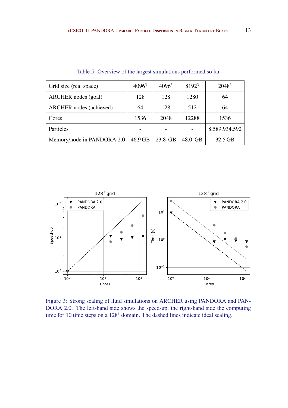<span id="page-12-0"></span>

| Grid size (real space)     | $4096^3$ | $4096^3$ | 8192 <sup>3</sup> | $2048^3$      |
|----------------------------|----------|----------|-------------------|---------------|
| ARCHER nodes (goal)        | 128      | 128      | 1280              | 64            |
| ARCHER nodes (achieved)    | 64       | 128      | 512               | 64            |
| Cores                      | 1536     | 2048     | 12288             | 1536          |
| Particles                  |          |          |                   | 8,589,934,592 |
| Memory/node in PANDORA 2.0 | 46.9 GB  | 23.8 GB  | 48.0 GB           | 32.5 GB       |

Table 5: Overview of the largest simulations performed so far



Figure 3: Strong scaling of fluid simulations on ARCHER using PANDORA and PAN-DORA 2.0. The left-hand side shows the speed-up, the right-hand side the computing time for 10 time steps on a  $128<sup>3</sup>$  domain. The dashed lines indicate ideal scaling.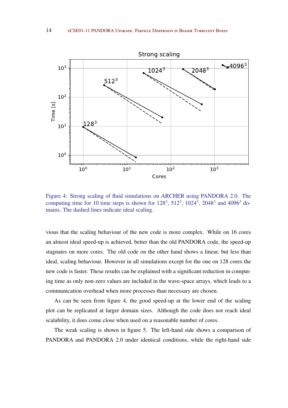

Figure 4: Strong scaling of fluid simulations on ARCHER using PANDORA 2.0. The computing time for 10 time steps is shown for  $128^3$ ,  $512^3$ ,  $1024^3$ ,  $2048^3$  and  $4096^3$  domains. The dashed lines indicate ideal scaling.

vious that the scaling behaviour of the new code is more complex. While on 16 cores an almost ideal speed-up is achieved, better than the old PANDORA code, the speed-up stagnates on more cores. The old code on the other hand shows a linear, but less than ideal, scaling behaviour. However in all simulations except for the one on 128 cores the new code is faster. These results can be explained with a significant reduction in computing time as only non-zero values are included in the wave-space arrays, which leads to a communication overhead when more processes than necessary are chosen.

As can be seen from figure 4, the good speed-up at the lower end of the scaling plot can be replicated at larger domain sizes. Although the code does not reach ideal scalability, it does come close when used on a reasonable number of cores.

The weak scaling is shown in figure [5.](#page-14-0) The left-hand side shows a comparison of PANDORA and PANDORA 2.0 under identical conditions, while the right-hand side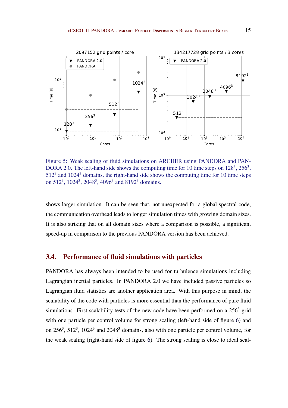<span id="page-14-0"></span>

Figure 5: Weak scaling of fluid simulations on ARCHER using PANDORA and PAN-DORA 2.0. The left-hand side shows the computing time for 10 time steps on  $128^3$ ,  $256^3$ ,  $512<sup>3</sup>$  and  $1024<sup>3</sup>$  domains, the right-hand side shows the computing time for 10 time steps on  $512^3$ ,  $1024^3$ ,  $2048^3$ ,  $4096^3$  and  $8192^3$  domains.

shows larger simulation. It can be seen that, not unexpected for a global spectral code, the communication overhead leads to longer simulation times with growing domain sizes. It is also striking that on all domain sizes where a comparison is possible, a significant speed-up in comparison to the previous PANDORA version has been achieved.

#### 3.4. Performance of fluid simulations with particles

PANDORA has always been intended to be used for turbulence simulations including Lagrangian inertial particles. In PANDORA 2.0 we have included passive particles so Lagrangian fluid statistics are another application area. With this purpose in mind, the scalability of the code with particles is more essential than the performance of pure fluid simulations. First scalability tests of the new code have been performed on a  $256<sup>3</sup>$  grid with one particle per control volume for strong scaling (left-hand side of figure [6\)](#page-15-0) and on  $256^3$ ,  $512^3$ ,  $1024^3$  and  $2048^3$  domains, also with one particle per control volume, for the weak scaling (right-hand side of figure [6\)](#page-15-0). The strong scaling is close to ideal scal-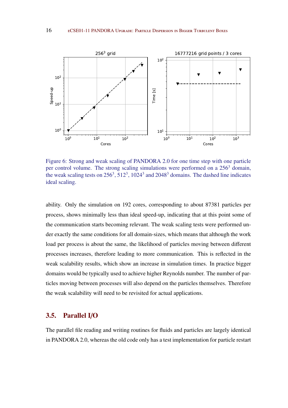<span id="page-15-0"></span>

Figure 6: Strong and weak scaling of PANDORA 2.0 for one time step with one particle per control volume. The strong scaling simulations were performed on a 256<sup>3</sup> domain, the weak scaling tests on  $256^3$ ,  $512^3$ ,  $1024^3$  and  $2048^3$  domains. The dashed line indicates ideal scaling.

ability. Only the simulation on 192 cores, corresponding to about 87381 particles per process, shows minimally less than ideal speed-up, indicating that at this point some of the communication starts becoming relevant. The weak scaling tests were performed under exactly the same conditions for all domain-sizes, which means that although the work load per process is about the same, the likelihood of particles moving between different processes increases, therefore leading to more communication. This is reflected in the weak scalability results, which show an increase in simulation times. In practice bigger domains would be typically used to achieve higher Reynolds number. The number of particles moving between processes will also depend on the particles themselves. Therefore the weak scalability will need to be revisited for actual applications.

#### 3.5. Parallel I/O

The parallel file reading and writing routines for fluids and particles are largely identical in PANDORA 2.0, whereas the old code only has a test implementation for particle restart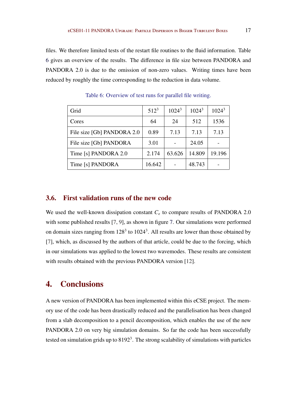files. We therefore limited tests of the restart file routines to the fluid information. Table 6 gives an overview of the results. The difference in file size between PANDORA and PANDORA 2.0 is due to the omission of non-zero values. Writing times have been reduced by roughly the time corresponding to the reduction in data volume.

| Grid                       | $512^3$ | $1024^3$ | $1024^3$ | $1024^3$ |
|----------------------------|---------|----------|----------|----------|
| Cores                      | 64      | 24       | 512      | 1536     |
| File size [Gb] PANDORA 2.0 | 0.89    | 7.13     | 7.13     | 7.13     |
| File size [Gb] PANDORA     | 3.01    |          | 24.05    |          |
| Time [s] PANDORA 2.0       | 2.174   | 63.626   | 14.809   | 19.196   |
| Time [s] PANDORA           | 16.642  |          | 48.743   |          |

Table 6: Overview of test runs for parallel file writing.

#### 3.6. First validation runs of the new code

We used the well-known dissipation constant  $C_{\epsilon}$  to compare results of PANDORA 2.0 with some published results [\[7,](#page-18-0) [9\]](#page-19-0), as shown in figure [7.](#page-17-0) Our simulations were performed on domain sizes ranging from  $128<sup>3</sup>$  to  $1024<sup>3</sup>$ . All results are lower than those obtained by [\[7\]](#page-18-0), which, as discussed by the authors of that article, could be due to the forcing, which in our simulations was applied to the lowest two wavemodes. These results are consistent with results obtained with the previous PANDORA version [\[12\]](#page-19-0).

## 4. Conclusions

A new version of PANDORA has been implemented within this eCSE project. The memory use of the code has been drastically reduced and the parallelisation has been changed from a slab decomposition to a pencil decomposition, which enables the use of the new PANDORA 2.0 on very big simulation domains. So far the code has been successfully tested on simulation grids up to  $8192<sup>3</sup>$ . The strong scalability of simulations with particles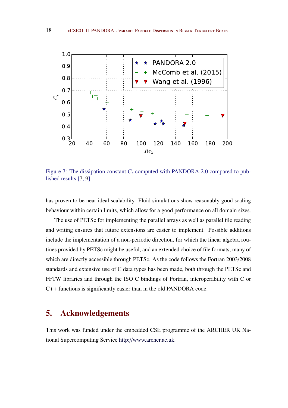<span id="page-17-0"></span>

Figure 7: The dissipation constant  $C_{\epsilon}$  computed with PANDORA 2.0 compared to published results [\[7](#page-18-0), [9](#page-19-0)]

has proven to be near ideal scalability. Fluid simulations show reasonably good scaling behaviour within certain limits, which allow for a good performance on all domain sizes.

The use of PETSc for implementing the parallel arrays as well as parallel file reading and writing ensures that future extensions are easier to implement. Possible additions include the implementation of a non-periodic direction, for which the linear algebra routines provided by PETSc might be useful, and an extended choice of file formats, many of which are directly accessible through PETSc. As the code follows the Fortran 2003/2008 standards and extensive use of C data types has been made, both through the PETSc and FFTW libraries and through the ISO C bindings of Fortran, interoperability with C or C++ functions is significantly easier than in the old PANDORA code.

## 5. Acknowledgements

This work was funded under the embedded CSE programme of the ARCHER UK National Supercomputing Service http://[www.archer.ac.uk.](http://www.archer.ac.uk)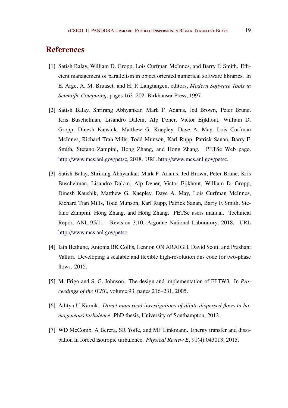## <span id="page-18-0"></span>**References**

- [1] Satish Balay, William D. Gropp, Lois Curfman McInnes, and Barry F. Smith. Efficient management of parallelism in object oriented numerical software libraries. In E. Arge, A. M. Bruaset, and H. P. Langtangen, editors, *Modern Software Tools in Scientific Computing*, pages 163–202. Birkhäuser Press, 1997.
- [2] Satish Balay, Shrirang Abhyankar, Mark F. Adams, Jed Brown, Peter Brune, Kris Buschelman, Lisandro Dalcin, Alp Dener, Victor Eijkhout, William D. Gropp, Dinesh Kaushik, Matthew G. Knepley, Dave A. May, Lois Curfman McInnes, Richard Tran Mills, Todd Munson, Karl Rupp, Patrick Sanan, Barry F. Smith, Stefano Zampini, Hong Zhang, and Hong Zhang. PETSc Web page. http://[www.mcs.anl.gov](http://www.mcs.anl.gov/petsc)/petsc, 2018. URL http://[www.mcs.anl.gov](http://www.mcs.anl.gov/petsc)/petsc.
- [3] Satish Balay, Shrirang Abhyankar, Mark F. Adams, Jed Brown, Peter Brune, Kris Buschelman, Lisandro Dalcin, Alp Dener, Victor Eijkhout, William D. Gropp, Dinesh Kaushik, Matthew G. Knepley, Dave A. May, Lois Curfman McInnes, Richard Tran Mills, Todd Munson, Karl Rupp, Patrick Sanan, Barry F. Smith, Stefano Zampini, Hong Zhang, and Hong Zhang. PETSc users manual. Technical Report ANL-95/11 - Revision 3.10, Argonne National Laboratory, 2018. URL http://[www.mcs.anl.gov](http://www.mcs.anl.gov/petsc)/petsc.
- [4] Iain Bethune, Antonia BK Collis, Lennon ON ARAIGH, David Scott, and Prashant Valluri. Developing a scalable and flexible high-resolution dns code for two-phase flows. 2015.
- [5] M. Frigo and S. G. Johnson. The design and implementation of FFTW3. In *Proceedings of the IEEE*, volume 93, pages 216–231, 2005.
- [6] Aditya U Karnik. *Direct numerical investigations of dilute dispersed flows in homogeneous turbulence*. PhD thesis, University of Southampton, 2012.
- [7] WD McComb, A Berera, SR Yoffe, and MF Linkmann. Energy transfer and dissipation in forced isotropic turbulence. *Physical Review E*, 91(4):043013, 2015.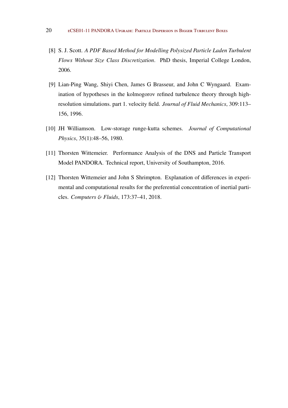- <span id="page-19-0"></span>[8] S. J. Scott. *A PDF Based Method for Modelling Polysized Particle Laden Turbulent Flows Without Size Class Discretization*. PhD thesis, Imperial College London, 2006.
- [9] Lian-Ping Wang, Shiyi Chen, James G Brasseur, and John C Wyngaard. Examination of hypotheses in the kolmogorov refined turbulence theory through highresolution simulations. part 1. velocity field. *Journal of Fluid Mechanics*, 309:113– 156, 1996.
- [10] JH Williamson. Low-storage runge-kutta schemes. *Journal of Computational Physics*, 35(1):48–56, 1980.
- [11] Thorsten Wittemeier. Performance Analysis of the DNS and Particle Transport Model PANDORA. Technical report, University of Southampton, 2016.
- [12] Thorsten Wittemeier and John S Shrimpton. Explanation of differences in experimental and computational results for the preferential concentration of inertial particles. *Computers* & *Fluids*, 173:37–41, 2018.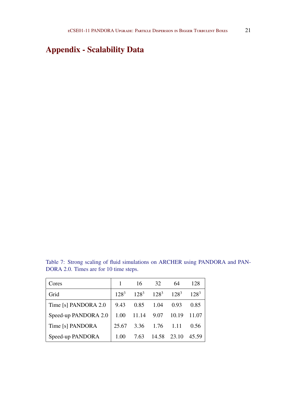## Appendix - Scalability Data

Table 7: Strong scaling of fluid simulations on ARCHER using PANDORA and PAN-DORA 2.0. Times are for 10 time steps.

| Cores                | $\mathbf{1}$ | 16                              | 32             | -64   | 128       |
|----------------------|--------------|---------------------------------|----------------|-------|-----------|
| Grid                 |              | $128^3$ $128^3$ $128^3$ $128^3$ |                |       | $128^{3}$ |
| Time [s] PANDORA 2.0 | 9.43         | 0.85                            | 1.04           | 0.93  | 0.85      |
| Speed-up PANDORA 2.0 | 1.00         | 11.14 9.07                      |                | 10.19 | 11.07     |
| Time [s] PANDORA     | 25.67        |                                 | 3.36 1.76 1.11 |       | 0.56      |
| Speed-up PANDORA     | 1.00         | 7.63                            | 14.58          | 23.10 | 45.59     |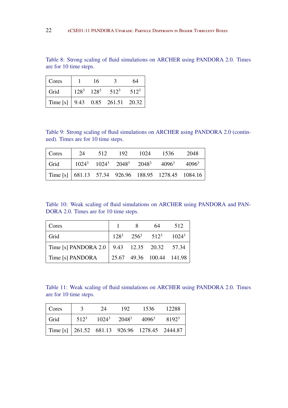Table 8: Strong scaling of fluid simulations on ARCHER using PANDORA 2.0. Times are for 10 time steps.

| Cores                                                                             | 16 | $\mathcal{L}$           | 64      |
|-----------------------------------------------------------------------------------|----|-------------------------|---------|
| Grid                                                                              |    | $128^3$ $128^3$ $512^3$ | $512^3$ |
| Time [s] $\begin{array}{ l} 9.43 \quad 0.85 \quad 261.51 \quad 20.32 \end{array}$ |    |                         |         |

Table 9: Strong scaling of fluid simulations on ARCHER using PANDORA 2.0 (continued). Times are for 10 time steps.

| Cores                                                       | 24 | 512 | 192 | 1024 | 1536                                                  | 2048 |
|-------------------------------------------------------------|----|-----|-----|------|-------------------------------------------------------|------|
| Grid                                                        |    |     |     |      | $1024^3$ $1024^3$ $2048^3$ $2048^3$ $4096^3$ $4096^3$ |      |
| Time [s] $\vert$ 681.13 57.34 926.96 188.95 1278.45 1084.16 |    |     |     |      |                                                       |      |

Table 10: Weak scaling of fluid simulations on ARCHER using PANDORA and PAN-DORA 2.0. Times are for 10 time steps.

| Cores                                         |  | 64                                | 512 |
|-----------------------------------------------|--|-----------------------------------|-----|
| Grid                                          |  | $128^3$ $256^3$ $512^3$ $1024^3$  |     |
| Time [s] PANDORA 2.0   9.43 12.35 20.32 57.34 |  |                                   |     |
| Time [s] PANDORA                              |  | $\vert$ 25.67 49.36 100.44 141.98 |     |

Table 11: Weak scaling of fluid simulations on ARCHER using PANDORA 2.0. Times are for 10 time steps.

| Cores                                                 | $\overline{\mathbf{3}}$ | 24 | 192 | 1536                                                                                             | 12288 |
|-------------------------------------------------------|-------------------------|----|-----|--------------------------------------------------------------------------------------------------|-------|
| Grid                                                  |                         |    |     | $\vert$ 512 <sup>3</sup> 1024 <sup>3</sup> 2048 <sup>3</sup> 4096 <sup>3</sup> 8192 <sup>3</sup> |       |
| Time [s] $\vert$ 261.52 681.13 926.96 1278.45 2444.87 |                         |    |     |                                                                                                  |       |